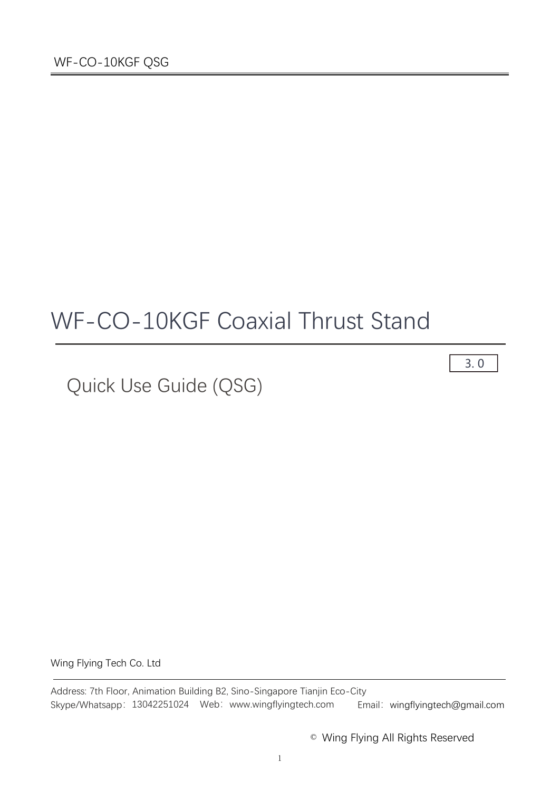# WF-CO-10KGF Coaxial Thrust Stand

Quick Use Guide (QSG)

Wing Flying Tech Co. Ltd

Address: 7th Floor, Animation Building B2, Sino-Singapore Tianjin Eco-City Skype/Whatsapp: 13042251024 Web: www.wingflyingtech.com Email: wingflyingtech@gmail.com

© Wing Flying All Rights Reserved

3. 0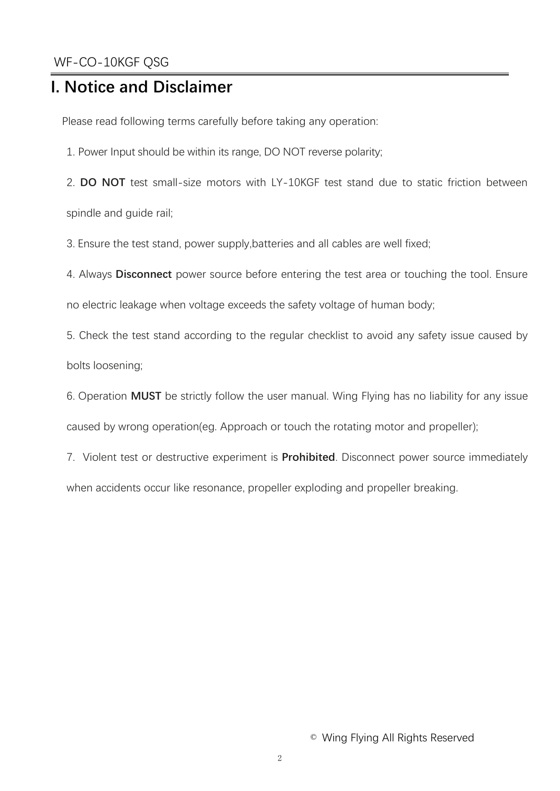## **I. Notice and Disclaimer**

Please read following terms carefully before taking any operation:

1. Power Input should be within its range, DO NOT reverse polarity;

2. **DO NOT** test small-size motors with LY-10KGF test stand due to static friction between spindle and guide rail;

3. Ensure the test stand, power supply,batteries and all cables are well fixed;

4. Always **Disconnect** power source before entering the test area or touching the tool. Ensure

no electric leakage when voltage exceeds the safety voltage of human body;

5. Check the test stand according to the regular checklist to avoid any safety issue caused by bolts loosening;

6. Operation **MUST** be strictly follow the user manual. Wing Flying has no liability for any issue caused by wrong operation(eg. Approach or touch the rotating motor and propeller);

7. Violent test or destructive experiment is **Prohibited**. Disconnect power source immediately when accidents occur like resonance, propeller exploding and propeller breaking.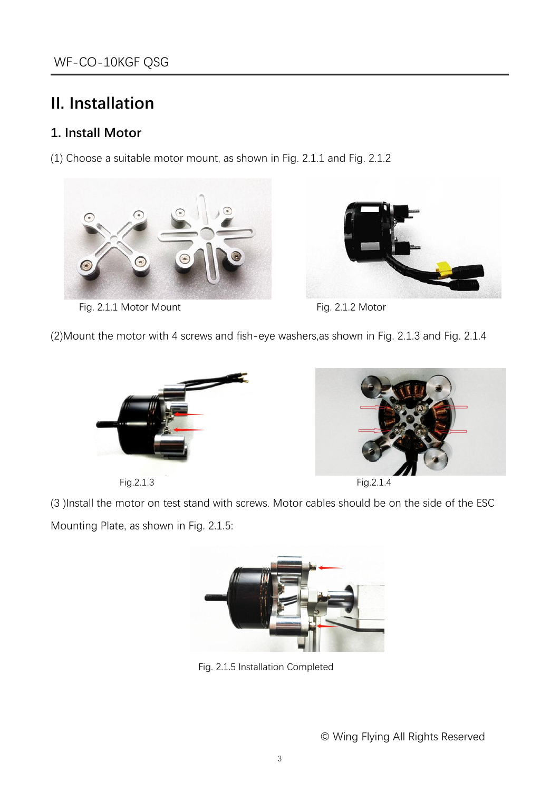# **II. Installation**

#### **1. Install Motor**

(1) Choose a suitable motor mount, as shown in Fig. 2.1.1 and Fig. 2.1.2



Fig. 2.1.1 Motor Mount Fig. 2.1.2 Motor



(2)Mount the motor with 4 screws and fish-eye washers,as shown in Fig. 2.1.3 and Fig. 2.1.4





Fig.2.1.3 Fig.2.1.4

(3 )Install the motor on test stand with screws. Motor cables should be on the side of the ESC Mounting Plate, as shown in Fig. 2.1.5:



Fig. 2.1.5 Installation Completed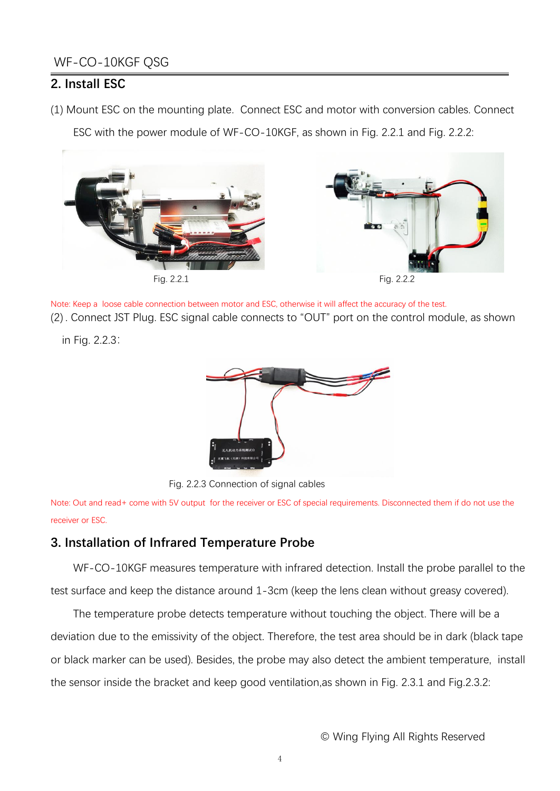#### **2. Install ESC**

(1) Mount ESC on the mounting plate. Connect ESC and motor with conversion cables. Connect

ESC with the power module of WF-CO-10KGF, as shown in Fig. 2.2.1 and Fig. 2.2.2:



Note: Keep a loose cable connection between motor and ESC, otherwise it will affect the accuracy of the test. (2) . Connect JST Plug. ESC signal cable connects to "OUT" port on the control module, as shown

in Fig. 2.2.3:



Fig. 2.2.3 Connection of signal cables

Note: Out and read+ come with 5V output for the receiver or ESC of special requirements. Disconnected them if do not use the receiver or ESC.

#### **3. Installation of Infrared Temperature Probe**

WF-CO-10KGF measures temperature with infrared detection. Install the probe parallel to the test surface and keep the distance around 1-3cm (keep the lens clean without greasy covered).

The temperature probe detects temperature without touching the object. There will be a deviation due to the emissivity of the object. Therefore, the test area should be in dark (black tape or black marker can be used). Besides, the probe may also detect the ambient temperature, install the sensor inside the bracket and keep good ventilation,as shown in Fig. 2.3.1 and Fig.2.3.2: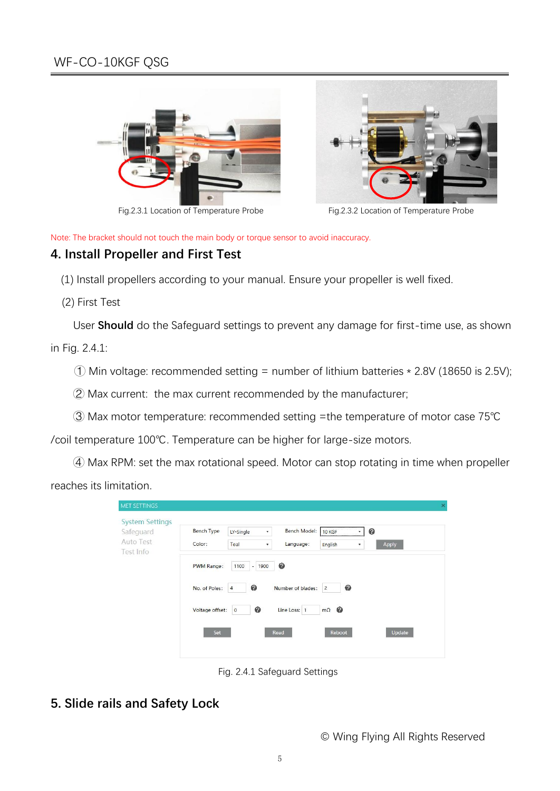



Fig.2.3.1 Location of Temperature Probe Fig.2.3.2 Location of Temperature Probe

Note: The bracket should not touch the main body or torque sensor to avoid inaccuracy.

#### **4. Install Propeller and First Test**

(1) Install propellers according to your manual. Ensure your propeller is well fixed.

(2) First Test

User **Should** do the Safeguard settings to prevent any damage for first-time use, as shown

in Fig. 2.4.1:

 $\odot$  Min voltage: recommended setting = number of lithium batteries  $*$  2.8V (18650 is 2.5V);

 $Q$  Max current: the max current recommended by the manufacturer;

③ Max motor temperature: recommended setting =the temperature of motor case 75℃

/coil temperature 100℃. Temperature can be higher for large-size motors.

④ Max RPM: set the max rotational speed. Motor can stop rotating in time when propeller reaches its limitation.

| <b>System Settings</b><br>Safeguard | <b>Bench Type</b> | LY-Single<br>$\overline{\mathbf{v}}$ | Bench Model:      | ------------------------------------<br>10 KGF | ๏      |
|-------------------------------------|-------------------|--------------------------------------|-------------------|------------------------------------------------|--------|
| Auto Test<br>Test Info              | Color:            | Teal<br>$\overline{\phantom{a}}$     | Language:         | English<br>$\overline{\phantom{a}}$            | Apply  |
|                                     | PWM Range:        | 1100<br>$-1900$                      | ◉                 |                                                |        |
|                                     | No. of Poles:     | ◉<br>$\sqrt{4}$                      | Number of blades: | ◉<br>$\overline{c}$                            |        |
|                                     | Voltage offset:   | ◎<br>$\circ$                         | Line Loss: 1      | $m\Omega$ $Q$                                  |        |
|                                     | Set               |                                      | Read              | Reboot                                         | Update |

Fig. 2.4.1 Safeguard Settings

#### **5. Slide rails and Safety Lock**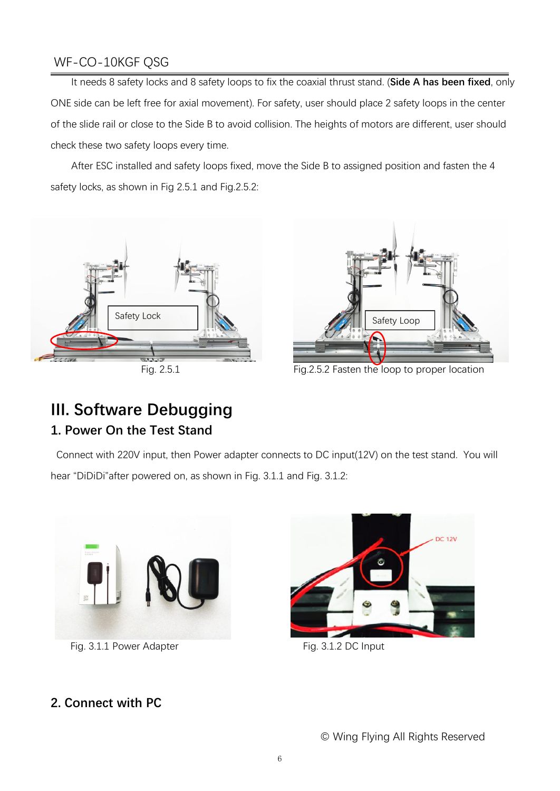It needs 8 safety locks and 8 safety loops to fix the coaxial thrust stand. (**Side A has been fixed**, only ONE side can be left free for axial movement). For safety, user should place 2 safety loops in the center of the slide rail or close to the Side B to avoid collision. The heights of motors are different, user should check these two safety loops every time.

After ESC installed and safety loops fixed, move the Side B to assigned position and fasten the 4 safety locks, as shown in Fig 2.5.1 and Fig.2.5.2:





Fig. 2.5.1 Fig.2.5.2 Fasten the loop to proper location

## **III. Software Debugging 1. Power On the Test Stand**

Connect with 220V input, then Power adapter connects to DC input(12V) on the test stand. You will hear "DiDiDi"after powered on, as shown in Fig. 3.1.1 and Fig. 3.1.2:



Fig. 3.1.1 Power Adapter Fig. 3.1.2 DC Input



#### **2. Connect with PC**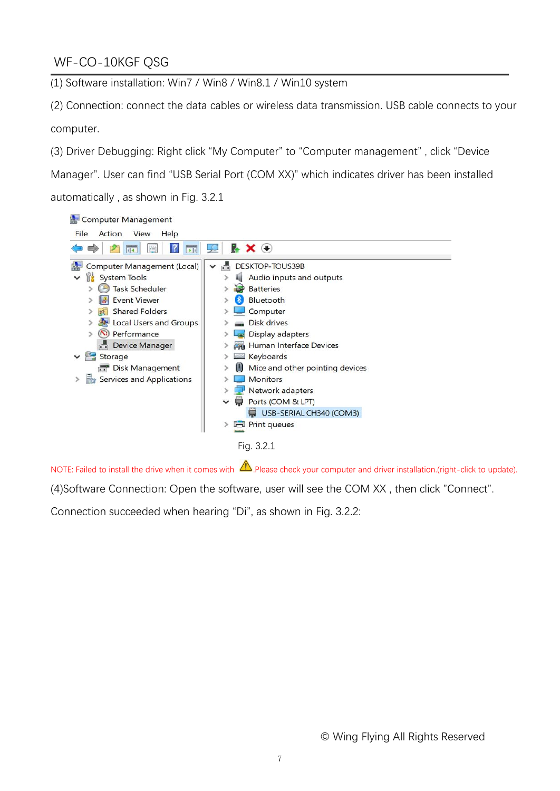(1) Software installation: Win7 / Win8 / Win8.1 / Win10 system

(2) Connection: connect the data cables or wireless data transmission. USB cable connects to your computer.

(3) Driver Debugging: Right click "My Computer" to "Computer management" , click "Device

Manager". User can find "USB Serial Port(COM XX)" which indicates driver has been installed automatically , as shown in Fig. 3.2.1



NOTE: Failed to install the drive when it comes with  $\bigwedge$  Please check your computer and driver installation.(right-click to update).

(4)Software Connection: Open the software, user will see the COM XX, then click "Connect".<br>Connection succeeded when hearing "Di", as shown in Fig. 3.2.2: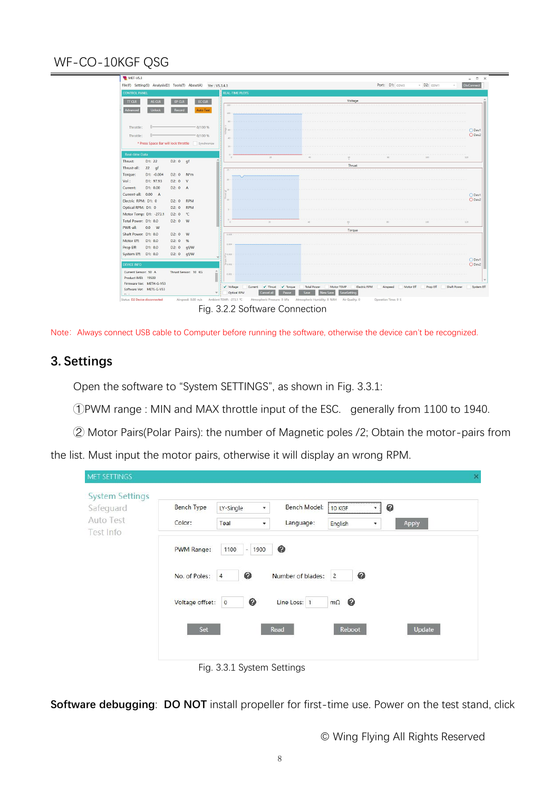|                                                      | File(F) Setting(S) Analysis(D) Tools(T) About(A) Ver: V5.3.4.3 |                             |                                            |                    |                            | Port: D1: COM3        | - D2: COM1 | <b>DisConnect</b><br>$\tau$ . |
|------------------------------------------------------|----------------------------------------------------------------|-----------------------------|--------------------------------------------|--------------------|----------------------------|-----------------------|------------|-------------------------------|
| <b>CONTROL PANEL</b>                                 |                                                                | <b>REAL-TIME PLOTS</b>      |                                            |                    |                            |                       |            |                               |
| $\overline{\text{T}}$ CLR<br>AS CLR                  | EC CLR<br>EP CLR                                               |                             |                                            |                    | Voltage                    |                       |            |                               |
| Advanced<br>Unlock                                   | Record<br><b>Auto Test</b>                                     | $120 -$                     |                                            |                    |                            |                       |            |                               |
|                                                      |                                                                | 100                         |                                            |                    |                            |                       |            |                               |
|                                                      |                                                                | $\mathcal{M}$               |                                            |                    |                            |                       |            |                               |
| Throttle:                                            | 0/100%                                                         | 16                          |                                            |                    |                            |                       |            | O Dev1                        |
| Throttle:                                            | 0/100%                                                         | $-40$                       |                                            |                    |                            |                       |            | O Dev2                        |
|                                                      | * Press Space Bar will lock throttle Synchronize               | $\sim$                      |                                            |                    |                            |                       |            |                               |
| <b>Real-time Data</b>                                |                                                                |                             |                                            |                    |                            |                       |            |                               |
| Thrust:<br>D1: 22                                    | D2: 0 gf                                                       |                             | 20.                                        | ab.                |                            |                       |            | 120                           |
| Thrust-all:<br>$22$ gf                               |                                                                |                             |                                            |                    | Thrust                     |                       |            |                               |
| $D1: -0.004$<br>Torque:                              | $N^*m$<br>D2:0                                                 | 24                          |                                            |                    |                            |                       |            |                               |
| D1: 97.93<br>Vol:                                    | D2:0<br>V                                                      |                             |                                            |                    |                            |                       |            |                               |
| D1: 0.00<br>Current:                                 | D2: 0 A                                                        |                             |                                            |                    |                            |                       |            |                               |
| Current-all: 0.00 A                                  |                                                                |                             |                                            |                    |                            |                       |            | O Dev1                        |
| Electric RPM: D1: 0                                  | <b>RPM</b><br>D2:0                                             |                             |                                            |                    |                            |                       |            | O Dev2                        |
| Optical RPM: D1: 0                                   | <b>RPM</b><br>D2:0                                             |                             |                                            |                    |                            |                       |            |                               |
| Motor Temp: D1: - 273.1                              | D2: 0<br>$^{\circ}$ C                                          |                             |                                            |                    |                            |                       |            |                               |
| Total Power: D1: 0.0                                 | D2: 0 W                                                        | $\alpha$                    | 20 <sub>2</sub>                            | $\lambda$          | $\frac{60}{t}$             | 200                   | 100        | 120                           |
| PWR-all:<br>$0.0$ W                                  |                                                                |                             |                                            |                    | Torque                     |                       |            |                               |
| Shaft Power: D1: 0.0                                 | D2:0<br>W                                                      | 0.005                       |                                            |                    |                            |                       |            |                               |
| Motor Eff:<br>D1: 0.0<br>Prop Eff:<br>D1: 0.0        | %<br>D2:0<br>D2: $0$ qf/W                                      | 0.004                       |                                            |                    |                            |                       |            |                               |
| System Eff: D1: 0.0                                  | D2: $0$ gf/W                                                   | 0.003                       |                                            |                    |                            |                       |            |                               |
|                                                      |                                                                | ÷                           |                                            |                    |                            |                       |            | O Dev1                        |
| <b>DEVICE INFO</b>                                   |                                                                | 0.002                       |                                            |                    |                            |                       |            | O Dev2                        |
| Current Sensor: 50 A                                 | Thrust Sensor: 10 KG                                           | ш<br>0.001                  |                                            |                    |                            |                       |            |                               |
| Product IMEI: 19500                                  |                                                                |                             |                                            |                    |                            |                       |            |                               |
| Firmware Ver: METH-G-V53<br>Software Ver: METS-G-V53 |                                                                | v Voltage                   | V Thrust<br>$\checkmark$ Torque<br>Current | <b>Total Power</b> | Motor TEMP<br>Electric RPM | Airspeed<br>Motor Eff | Prop Eff   | Shaft Power<br>System Eff     |
| $201 - 1$                                            |                                                                | Optical RPM<br>$\mathbf{v}$ | Cancel all<br>Pause                        | New Save<br>Save   | SaveSetting                |                       |            |                               |

Fig. 3.2.2 Software Connection

Note: Always connect USB cable to Computer before running the software, otherwise the device can't be recognized.

#### **3. Settings**

Open the software to "System SETTINGS", as shown in Fig. 3.3.1:

①PWM range : MIN and MAX throttle input of the ESC. generally from 1100 to 1940.

② Motor Pairs(Polar Pairs): the number of Magnetic poles /2; Obtain the motor-pairs from

the list. Must input the motor pairs, otherwise it will display an wrong RPM.

| Safeguard              | <b>Bench Type</b> | LY-Single<br>$\overline{\mathbf{v}}$ | Bench Model:      | <b>10 KGF</b><br>$\overline{\phantom{a}}$ | ◉      |
|------------------------|-------------------|--------------------------------------|-------------------|-------------------------------------------|--------|
| Auto Test<br>Test Info | Color:            | Teal<br>$\overline{\mathbf{v}}$      | Language:         | English<br>$\overline{\phantom{a}}$       | Apply  |
|                        | PWM Range:        | 1100<br>1900<br>$\sim$               | ◉                 |                                           |        |
|                        | No. of Poles:     | ◉<br>$\overline{4}$                  | Number of blades: | €<br>$\overline{2}$                       |        |
|                        | Voltage offset:   | ◎<br>$\overline{\mathbf{0}}$         | Line Loss: 1      | $\boldsymbol{Q}$<br>$m\Omega$             |        |
|                        | Set               |                                      | Read              | Reboot                                    | Update |

**Software debugging: DO NOT** install propeller for first-time use. Power on the test stand, click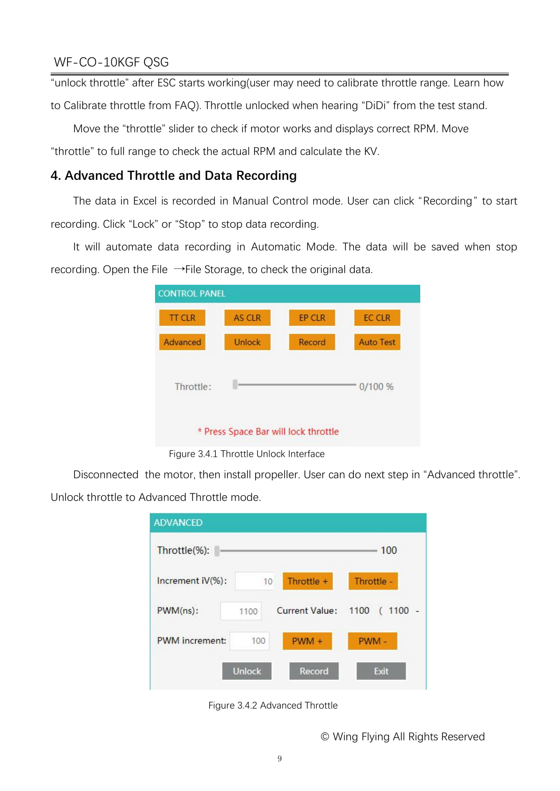"unlock throttle" after ESC starts working(user may need to calibrate throttle range. Learn how

to Calibrate throttle from FAQ). Throttle unlocked when hearing "DiDi" from the test stand.

Move the "throttle" slider to check if motor works and displays correct RPM. Move

"throttle" to full range to check the actual RPM and calculate the KV.

#### **4. Advanced Throttle and Data Recording**

The data in Excel is recorded in Manual Control mode. User can click "Recording" to start recording. Click "Lock" or "Stop" to stop data recording.

It will automate data recording in Automatic Mode. The data will be saved when stop recording. Open the File →File Storage, to check the original data.

| <b>CONTROL PANEL</b> |               |                                      |                  |
|----------------------|---------------|--------------------------------------|------------------|
| <b>TT CLR</b>        | <b>AS CLR</b> | <b>EP CLR</b>                        | <b>EC CLR</b>    |
| Advanced             | Unlock        | Record                               | <b>Auto Test</b> |
| Throttle:            |               |                                      | 0/100%           |
|                      |               | * Press Space Bar will lock throttle |                  |

Figure 3.4.1 Throttle Unlock Interface

Disconnected the motor, then install propeller. User can do next step in "Advanced throttle". Unlock throttle to Advanced Throttle mode.

| <b>ADVANCED</b>  |               |                       |                              |
|------------------|---------------|-----------------------|------------------------------|
| Throttle(%):     |               |                       | 100                          |
| Increment iV(%): | 10            | Throttle +            | Throttle -                   |
| $PWM(ns)$ :      | 1100          | <b>Current Value:</b> | $1100 -$<br>1100<br>$\left($ |
| PWM increment:   | 100           | $PWM +$               | PWM-                         |
|                  | <b>Unlock</b> | Record                | Exit                         |

Figure 3.4.2 Advanced Throttle